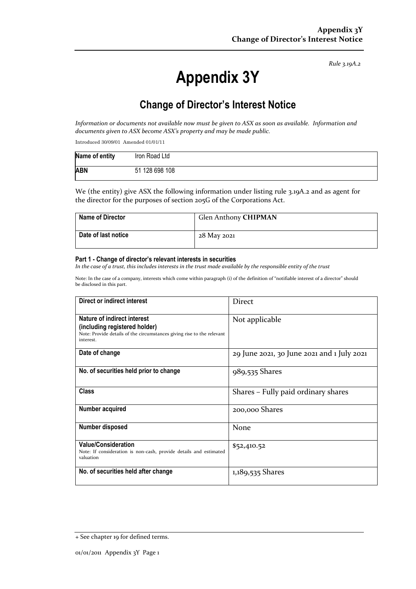*Rule 3.19A.2*

# **Appendix 3Y**

# **Change of Director's Interest Notice**

*Information or documents not available now must be given to ASX as soon as available. Information and documents given to ASX become ASX's property and may be made public.*

Introduced 30/09/01 Amended 01/01/11

| Name of entity | Iron Road Ltd  |
|----------------|----------------|
| <b>ABN</b>     | 51 128 698 108 |

We (the entity) give ASX the following information under listing rule 3.19A.2 and as agent for the director for the purposes of section 205G of the Corporations Act.

| <b>Name of Director</b> | Glen Anthony CHIPMAN |
|-------------------------|----------------------|
| ∣ Date of last notice   | 28 May 2021          |

#### **Part 1 - Change of director's relevant interests in securities**

*In the case of a trust, this includes interests in the trust made available by the responsible entity of the trust*

Note: In the case of a company, interests which come within paragraph (i) of the definition of "notifiable interest of a director" should be disclosed in this part.

| Direct or indirect interest                                                                                                                         | <b>Direct</b>                              |  |
|-----------------------------------------------------------------------------------------------------------------------------------------------------|--------------------------------------------|--|
| Nature of indirect interest<br>(including registered holder)<br>Note: Provide details of the circumstances giving rise to the relevant<br>interest. | Not applicable                             |  |
| Date of change                                                                                                                                      | 29 June 2021, 30 June 2021 and 1 July 2021 |  |
| No. of securities held prior to change                                                                                                              | 989,535 Shares                             |  |
| <b>Class</b>                                                                                                                                        | Shares – Fully paid ordinary shares        |  |
| Number acquired                                                                                                                                     | 200,000 Shares                             |  |
| Number disposed                                                                                                                                     | None                                       |  |
| <b>Value/Consideration</b><br>Note: If consideration is non-cash, provide details and estimated<br>valuation                                        | \$52,410.52                                |  |
| No. of securities held after change                                                                                                                 | 1,189,535 Shares                           |  |

<sup>+</sup> See chapter 19 for defined terms.